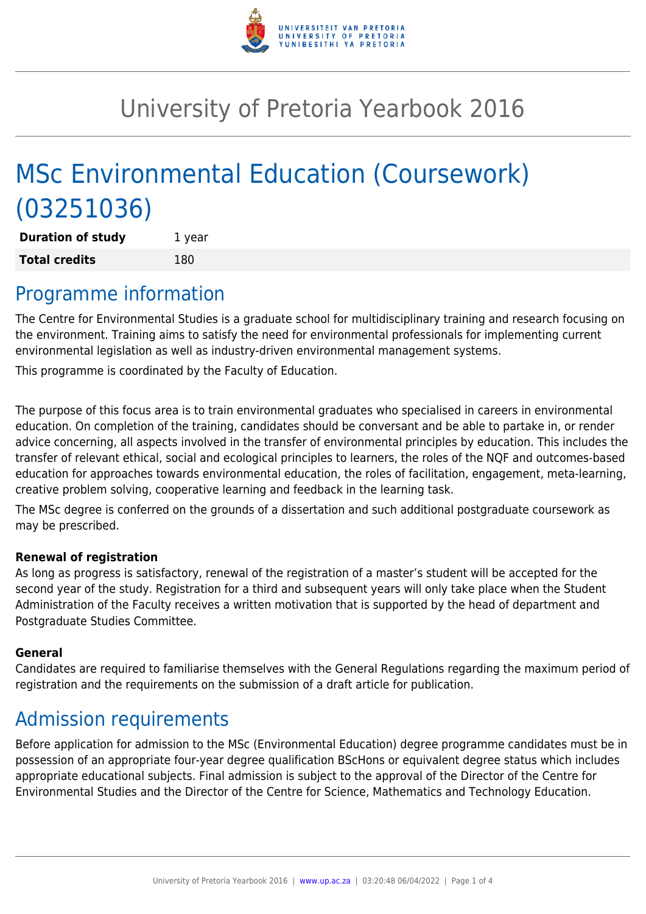

# University of Pretoria Yearbook 2016

# MSc Environmental Education (Coursework) (03251036)

**Duration of study** 1 year **Total credits** 180

### Programme information

The Centre for Environmental Studies is a graduate school for multidisciplinary training and research focusing on the environment. Training aims to satisfy the need for environmental professionals for implementing current environmental legislation as well as industry-driven environmental management systems.

This programme is coordinated by the Faculty of Education.

The purpose of this focus area is to train environmental graduates who specialised in careers in environmental education. On completion of the training, candidates should be conversant and be able to partake in, or render advice concerning, all aspects involved in the transfer of environmental principles by education. This includes the transfer of relevant ethical, social and ecological principles to learners, the roles of the NQF and outcomes-based education for approaches towards environmental education, the roles of facilitation, engagement, meta-learning, creative problem solving, cooperative learning and feedback in the learning task.

The MSc degree is conferred on the grounds of a dissertation and such additional postgraduate coursework as may be prescribed.

#### **Renewal of registration**

As long as progress is satisfactory, renewal of the registration of a master's student will be accepted for the second year of the study. Registration for a third and subsequent years will only take place when the Student Administration of the Faculty receives a written motivation that is supported by the head of department and Postgraduate Studies Committee.

#### **General**

Candidates are required to familiarise themselves with the General Regulations regarding the maximum period of registration and the requirements on the submission of a draft article for publication.

### Admission requirements

Before application for admission to the MSc (Environmental Education) degree programme candidates must be in possession of an appropriate four-year degree qualification BScHons or equivalent degree status which includes appropriate educational subjects. Final admission is subject to the approval of the Director of the Centre for Environmental Studies and the Director of the Centre for Science, Mathematics and Technology Education.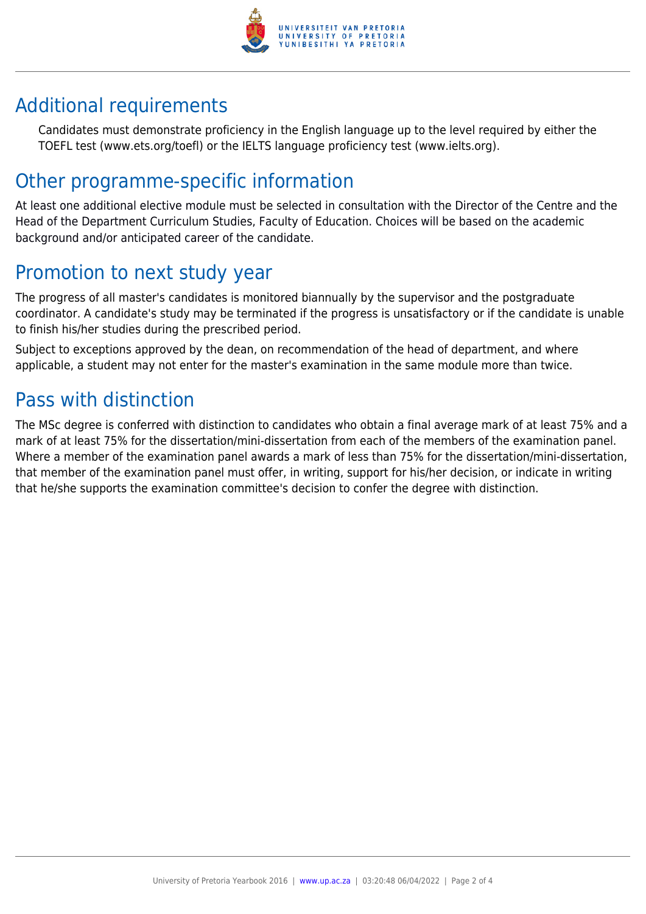

## Additional requirements

Candidates must demonstrate proficiency in the English language up to the level required by either the TOEFL test (www.ets.org/toefl) or the IELTS language proficiency test (www.ielts.org).

### Other programme-specific information

At least one additional elective module must be selected in consultation with the Director of the Centre and the Head of the Department Curriculum Studies, Faculty of Education. Choices will be based on the academic background and/or anticipated career of the candidate.

## Promotion to next study year

The progress of all master's candidates is monitored biannually by the supervisor and the postgraduate coordinator. A candidate's study may be terminated if the progress is unsatisfactory or if the candidate is unable to finish his/her studies during the prescribed period.

Subject to exceptions approved by the dean, on recommendation of the head of department, and where applicable, a student may not enter for the master's examination in the same module more than twice.

### Pass with distinction

The MSc degree is conferred with distinction to candidates who obtain a final average mark of at least 75% and a mark of at least 75% for the dissertation/mini-dissertation from each of the members of the examination panel. Where a member of the examination panel awards a mark of less than 75% for the dissertation/mini-dissertation, that member of the examination panel must offer, in writing, support for his/her decision, or indicate in writing that he/she supports the examination committee's decision to confer the degree with distinction.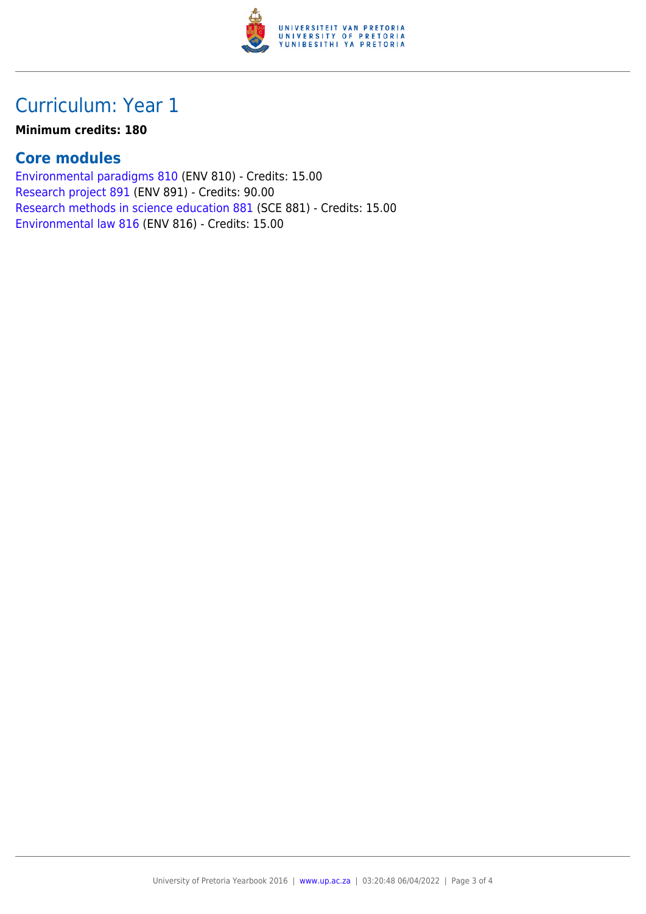

## Curriculum: Year 1

#### **Minimum credits: 180**

#### **Core modules**

[Environmental paradigms 810](https://www.up.ac.za/yearbooks/2016/modules/view/ENV 810) (ENV 810) - Credits: 15.00 [Research project 891](https://www.up.ac.za/yearbooks/2016/modules/view/ENV 891) (ENV 891) - Credits: 90.00 [Research methods in science education 881](https://www.up.ac.za/yearbooks/2016/modules/view/SCE 881) (SCE 881) - Credits: 15.00 [Environmental law 816](https://www.up.ac.za/yearbooks/2016/modules/view/ENV 816) (ENV 816) - Credits: 15.00